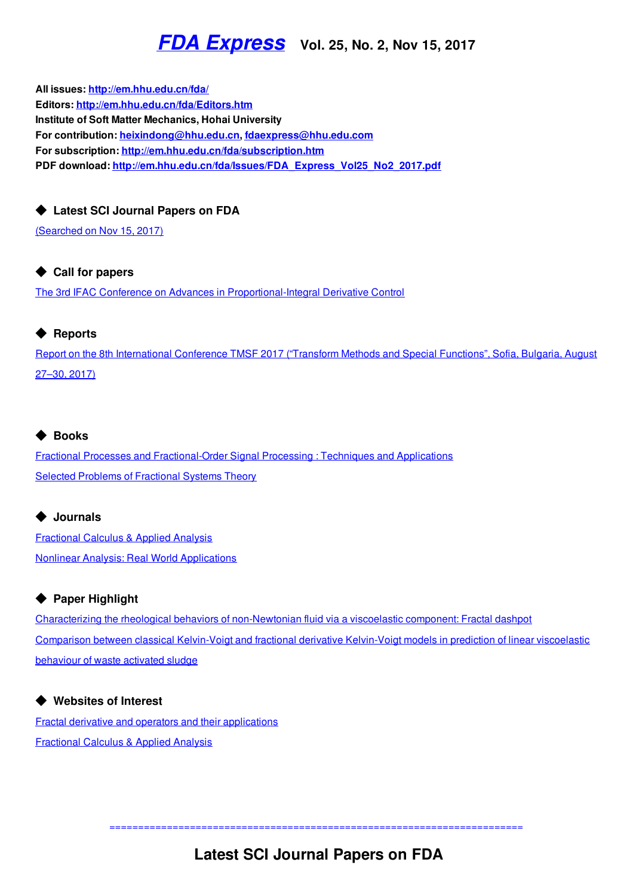## *FDA [Express](http://em.hhu.edu.cn/fda/index.htm)* **Vol. 25, No. 2, Nov 15, <sup>2017</sup>**

<span id="page-0-0"></span>**All issues: <http://em.hhu.edu.cn/fda/> Editors: <http://em.hhu.edu.cn/fda/Editors.htm> Institute of Soft Matter Mechanics, Hohai University For contribution: [heixin](mailto:heixindong@hhu.edu.cn)[dong@hhu.edu.cn](mailto:fdaexpress@163.com), [fdaexpress@hhu.edu.com](mailto:fdaexpress@hhu.edu.cn) For subscription: <http://em.hhu.edu.cn/fda/subscription.htm> PDF download: [http://em.hhu.edu.cn/fda/Issues/FDA\\_Express\\_Vol25\\_No2\\_2017.pdf](http://em.hhu.edu.cn/fda/Issues/FDA_Express_Vol17_No3_2015.pdf)**

#### ◆ **Latest SCI Journal Papers on FDA**

[\(Searched](#page-1-0) on Nov 15, 2017)

#### ◆ **Call for papers**

The 3rd IFAC Conference on Advances in [Proportional-Integral](#page-2-0) Derivative Control

#### ◆ **Reports**

Report on the 8th International Conference TMSF 2017 ("Transform Methods and Special Functions", Sofia, Bulgaria, August 27–30, 2017)

#### ◆ **Books**

Fractional Processes and [Fractional-Order](#page-3-0) Signal Processing : Techniques and Applications Selected Problems of [Fractional](#page-4-0) Systems Theory

#### ◆ **Journals**

[Fractional](#page-4-1) Calculus & Applied Analysis Nonlinear Analysis: Real World [Applications](#page-5-0)

#### ◆ **Paper Highlight**

Characterizing the rheological behaviors of [non-Newtonian](#page-6-0) fluid via a viscoelastic component: Fractal dashpot Comparison between classical [Kelvin-Voigt](#page-6-1) and fractional derivative Kelvin-Voigt models in prediction of linear viscoelastic behaviour of waste activated sludge

#### ◆ **Websites of Interest**

Fractal derivative and operators and their [applications](https://www.researchgate.net/project/Fractal-derivative-and-operators-and-their-applications) [Fractional](http://www.degruyter.com/view/j/fca) Calculus & Applied Analysis

========================================================================

### **Latest SCI Journal Papers on FDA**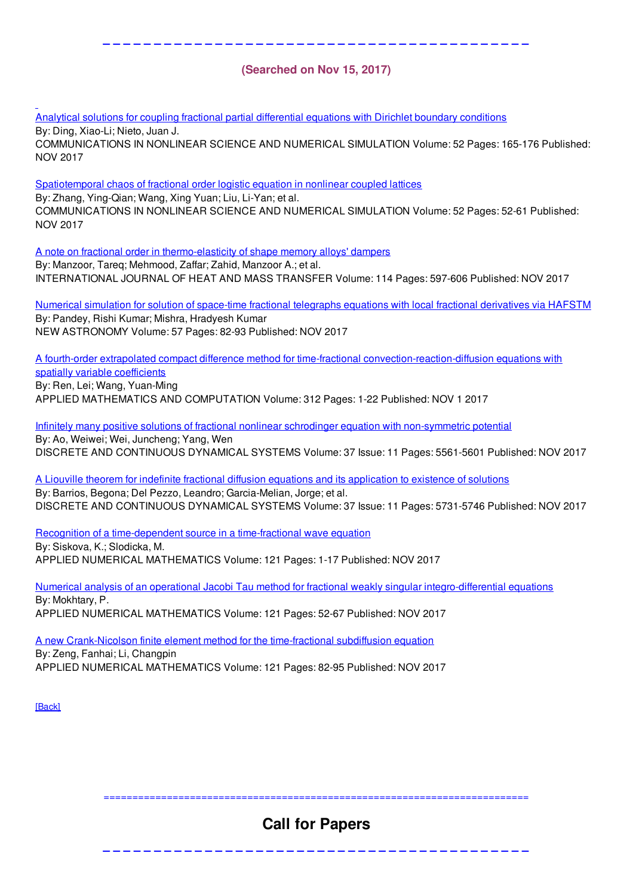#### <span id="page-1-0"></span>**(Searched on Nov 15, 2017)**

**−−−−−−−−−−−−−−−−−−−−−−−−−−−−−−−−−−−−−−−−−−**

Analytical solutions for coupling fractional partial [differential](http://www.google.cn/) equations with Dirichlet boundary conditions

By: Ding, Xiao-Li; Nieto, Juan J. COMMUNICATIONS IN NONLINEAR SCIENCE AND NUMERICAL SIMULATION Volume: 52 Pages: 165-176 Published: NOV 2017

[Spatiotemporal](http://www.google.cn/) chaos of fractional order logistic equation in nonlinear coupled lattices By: Zhang, Ying-Qian; Wang, Xing Yuan; Liu, Li-Yan; et al. COMMUNICATIONS IN NONLINEAR SCIENCE AND NUMERICAL SIMULATION Volume: 52 Pages: 52-61 Published: NOV 2017

A note on fractional order in [thermo-elasticity](http://www.google.cn/) of shape memory alloys' dampers By: Manzoor, Tareq; Mehmood, Zaffar; Zahid, Manzoor A.; et al. INTERNATIONAL JOURNAL OF HEAT AND MASS TRANSFER Volume: 114 Pages: 597-606 Published: NOV 2017

Numerical simulation for solution of [space-time](http://www.google.cn/) fractional telegraphs equations with local fractional derivatives via HAFSTM By: Pandey, Rishi Kumar; Mishra, Hradyesh Kumar NEW ASTRONOMY Volume: 57 Pages: 82-93 Published: NOV 2017

A fourth-order extrapolated compact difference method for time-fractional [convection-reaction-diffusion](http://www.google.cn/) equations with spatially variable coefficients By: Ren, Lei; Wang, Yuan-Ming

APPLIED MATHEMATICS AND COMPUTATION Volume: 312 Pages: 1-22 Published: NOV 1 2017

Infinitely many positive solutions of fractional nonlinear schrodinger equation with [non-symmetric](http://www.google.cn/) potential By: Ao, Weiwei; Wei, Juncheng; Yang, Wen DISCRETE AND CONTINUOUS DYNAMICAL SYSTEMS Volume: 37 Issue: 11 Pages: 5561-5601 Published: NOV 2017

A Liouville theorem for indefinite fractional diffusion equations and its [application](http://www.google.cn/) to existence of solutions By: Barrios, Begona; Del Pezzo, Leandro; Garcia-Melian, Jorge; et al. DISCRETE AND CONTINUOUS DYNAMICAL SYSTEMS Volume: 37 Issue: 11 Pages: 5731-5746 Published: NOV 2017

Recognition of a [time-dependent](http://www.google.cn/) source in a time-fractional wave equation By: Siskova, K.; Slodicka, M. APPLIED NUMERICAL MATHEMATICS Volume: 121 Pages: 1-17 Published: NOV 2017

Numerical analysis of an operational Jacobi Tau method for fractional weakly singular [integro-differential](http://www.google.cn/) equations By: Mokhtary, P. APPLIED NUMERICAL MATHEMATICS Volume: 121 Pages: 52-67 Published: NOV 2017

A new [Crank-Nicolson](http://www.google.cn/) finite element method for the time-fractional subdiffusion equation By: Zeng, Fanhai; Li, Changpin APPLIED NUMERICAL MATHEMATICS Volume: 121 Pages: 82-95 Published: NOV 2017

[\[Back\]](#page-0-0)

## **Call for Papers**

==========================================================================

**−−−−−−−−−−−−−−−−−−−−−−−−−−−−−−−−−−**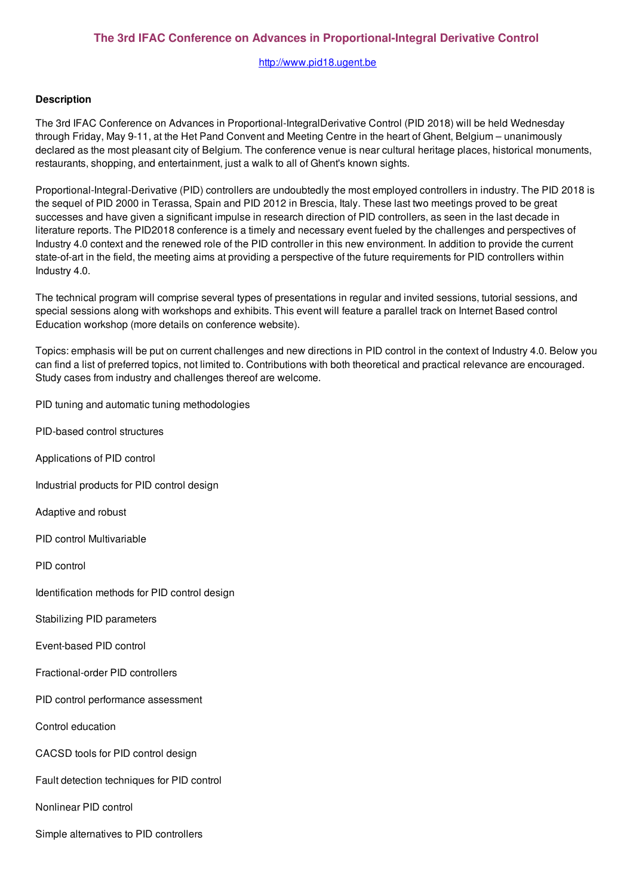#### <span id="page-2-0"></span>**The 3rd IFAC Conference on Advances in Proportional-Integral Derivative Control**

#### <http://www.pid18.ugent.be>

#### **Description**

The 3rd IFAC Conference on Advances in Proportional-IntegralDerivative Control (PID 2018) will be held Wednesday through Friday, May 9-11, at the Het Pand Convent and Meeting Centre in the heart of Ghent, Belgium – unanimously declared as the most pleasant city of Belgium. The conference venue is near cultural heritage places, historical monuments, restaurants, shopping, and entertainment, just a walk to all of Ghent's known sights.

Proportional-Integral-Derivative (PID) controllers are undoubtedly the most employed controllers in industry. The PID 2018 is the sequel of PID 2000 in Terassa, Spain and PID 2012 in Brescia, Italy. These last two meetings proved to be great successes and have given a significant impulse in research direction of PID controllers, as seen in the last decade in literature reports. The PID2018 conference is a timely and necessary event fueled by the challenges and perspectives of Industry 4.0 context and the renewed role of the PID controller in this new environment. In addition to provide the current state-of-art in the field, the meeting aims at providing a perspective of the future requirements for PID controllers within Industry 4.0.

The technical program will comprise several types of presentations in regular and invited sessions, tutorial sessions, and special sessions along with workshops and exhibits. This event will feature a parallel track on Internet Based control Education workshop (more details on conference website).

Topics: emphasis will be put on current challenges and new directions in PID control in the context of Industry 4.0. Below you can find a list of preferred topics, not limited to. Contributions with both theoretical and practical relevance are encouraged. Study cases from industry and challenges thereof are welcome.

PID tuning and automatic tuning methodologies

- PID-based control structures
- Applications of PID control
- Industrial products for PID control design

Adaptive and robust

PID control Multivariable

PID control

- Identification methods for PID control design
- Stabilizing PID parameters
- Event-based PID control
- Fractional-order PID controllers

PID control performance assessment

Control education

CACSD tools for PID control design

Fault detection techniques for PID control

Nonlinear PID control

Simple alternatives to PID controllers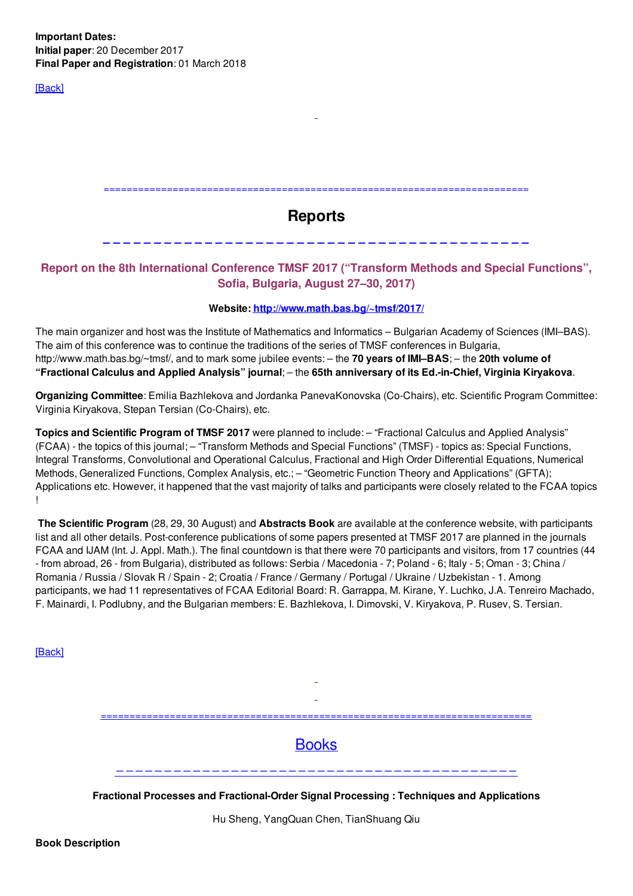**Important Dates: Initial paper**: 20 December 2017 **Final Paper and Registration**: 01 March 2018

[\[Back\]](#page-0-0)

## ========================================================================== **Reports −−−−−−−−−−−−−−−−−−−−−−−−−−−−−−−−−−−−−−−−−−**

#### **Report on the 8th International Conference TMSF 2017 ("Transform Methods and Special Functions", Sofia, Bulgaria, August 27–30, 2017)**

#### **Website: <http://www.math.bas.bg/~tmsf/2017/>**

The main organizer and host was the Institute of Mathematics and Informatics – Bulgarian Academy of Sciences (IMI–BAS). The aim of this conference was to continue the traditions of the series of TMSF conferences in Bulgaria, http://www.math.bas.bg/∼tmsf/, and to mark some jubilee events: – the **70 years of IMI–BAS**; – the **20th volume of "Fractional Calculus and Applied Analysis" journal**; – the **65th anniversary of its Ed.-in-Chief, Virginia Kiryakova**.

**Organizing Committee**: Emilia Bazhlekova and Jordanka PanevaKonovska (Co-Chairs), etc. Scientific Program Committee: Virginia Kiryakova, Stepan Tersian (Co-Chairs), etc.

**Topics and Scientific Program of TMSF 2017** were planned to include: – "Fractional Calculus and Applied Analysis" (FCAA) - the topics of this journal; – "Transform Methods and Special Functions" (TMSF) - topics as: Special Functions, Integral Transforms, Convolutional and Operational Calculus, Fractional and High Order Differential Equations, Numerical Methods, Generalized Functions, Complex Analysis, etc.; – "Geometric Function Theory and Applications" (GFTA); Applications etc. However, it happened that the vast majority of talks and participants were closely related to the FCAA topics !

**The Scientific Program** (28, 29, 30 August) and **Abstracts Book** are available at the conference website, with participants list and all other details. Post-conference publications of some papers presented at TMSF 2017 are planned in the journals FCAA and IJAM (Int. J. Appl. Math.). The final countdown is that there were 70 participants and visitors, from 17 countries (44 - from abroad, 26 - from Bulgaria), distributed as follows: Serbia / Macedonia - 7; Poland - 6; Italy - 5; Oman - 3; China / Romania / Russia / Slovak R / Spain - 2; Croatia / France / Germany / Portugal / Ukraine / Uzbekistan - 1. Among participants, we had 11 representatives of FCAA Editorial Board: R. Garrappa, M. Kirane, Y. Luchko, J.A. Tenreiro Machado, F. Mainardi, I. Podlubny, and the Bulgarian members: E. Bazhlekova, I. Dimovski, V. Kiryakova, P. Rusev, S. Tersian.

[\[Back\]](#page-0-0)

# =========================================================================== **Books** −−−−−−−−−−−−−−−−−−−−−−−−−−−−−−−−−−−−−−−−−−

<span id="page-3-0"></span>**Fractional Processes and Fractional-Order Signal Processing : Techniques and Applications**

Hu Sheng, YangQuan Chen, TianShuang Qiu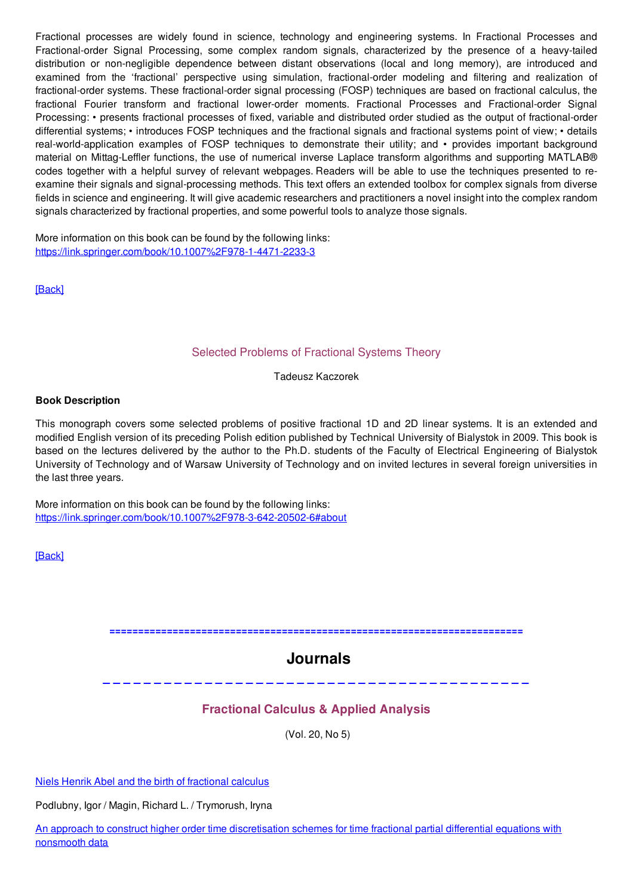Fractional processes are widely found in science, technology and engineering systems. In Fractional Processes and Fractional-order Signal Processing, some complex random signals, characterized by the presence of a heavy-tailed distribution or non-negligible dependence between distant observations (local and long memory), are introduced and examined from the 'fractional' perspective using simulation, fractional-order modeling and filtering and realization of fractional-order systems. These fractional-order signal processing (FOSP) techniques are based on fractional calculus, the fractional Fourier transform and fractional lower-order moments. Fractional Processes and Fractional-order Signal Processing: • presents fractional processes of fixed, variable and distributed order studied as the output of fractional-order differential systems; • introduces FOSP techniques and the fractional signals and fractional systems point of view; • details real-world-application examples of FOSP techniques to demonstrate their utility; and • provides important background material on Mittag-Leffler functions, the use of numerical inverse Laplace transform algorithms and supporting MATLAB® codes together with a helpful survey of relevant webpages. Readers will be able to use the techniques presented to reexamine their signals and signal-processing methods. This text offers an extended toolbox for complex signals from diverse fields in science and engineering. It will give academic researchers and practitioners a novel insight into the complex random signals characterized by fractional properties, and some powerful tools to analyze those signals.

More information on this book can be found by the following links: [https://link.springer.com/book/10.1007%2F978-1-4471-2233-3](http://www.worldscientific.com/worldscibooks/10.1142/9585)

[\[Back\]](#page-0-0)

#### <span id="page-4-0"></span>Selected Problems of Fractional Systems Theory

Tadeusz Kaczorek

#### **Book Description**

This monograph covers some selected problems of positive fractional 1D and 2D linear systems. It is an extended and modified English version of its preceding Polish edition published by Technical University of Bialystok in 2009. This book is based on the lectures delivered by the author to the Ph.D. students of the Faculty of Electrical Engineering of Bialystok University of Technology and of Warsaw University of Technology and on invited lectures in several foreign universities in the last three years.

More information on this book can be found by the following links: [https://link.springer.com/book/10.1007%2F978-3-642-20502-6#about](http://www.worldscientific.com/worldscibooks/10.1142/9585)

[\[Back\]](#page-0-0)

**========================================================================**

## **Journals**

**−−−−−−−−−−−−−−−−−−−−−−−−−−−−−−−−−−−−−−−−−−**

#### <span id="page-4-1"></span>**Fractional Calculus & Applied Analysis**

(Vol. 20, No 5)

Niels Henrik Abel and the birth of [fractional](https://www.bing.com/) calculus

Podlubny, Igor / Magin, Richard L. / Trymorush, Iryna

An approach to construct higher order time [discretisation](https://www.bing.com/) schemes for time fractional partial differential equations with nonsmooth data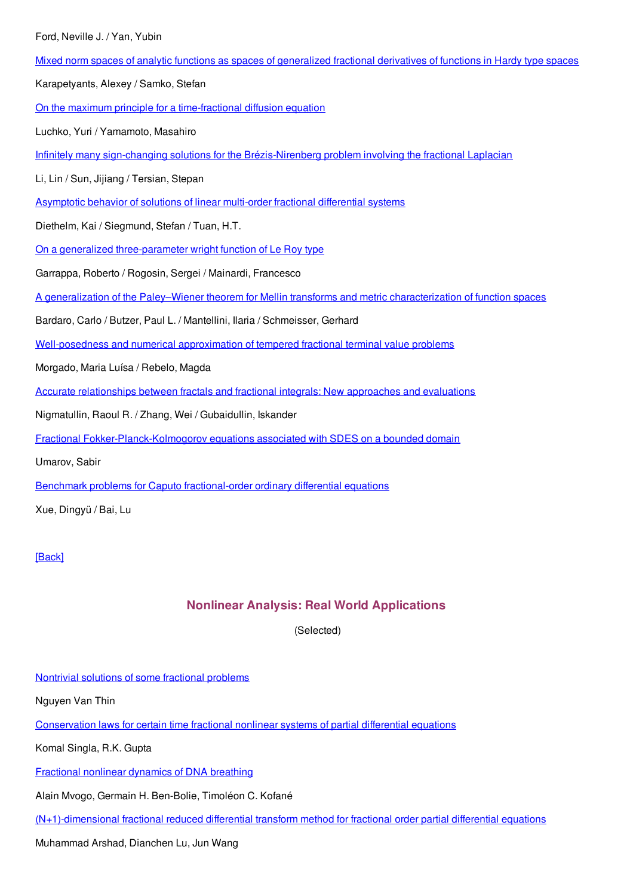| Mixed norm spaces of analytic functions as spaces of generalized fractional derivatives of functions in Hardy type spaces |
|---------------------------------------------------------------------------------------------------------------------------|
| Karapetyants, Alexey / Samko, Stefan                                                                                      |
| On the maximum principle for a time-fractional diffusion equation                                                         |
| Luchko, Yuri / Yamamoto, Masahiro                                                                                         |
| Infinitely many sign-changing solutions for the Brézis-Nirenberg problem involving the fractional Laplacian               |
| Li, Lin / Sun, Jijiang / Tersian, Stepan                                                                                  |
| Asymptotic behavior of solutions of linear multi-order fractional differential systems                                    |
| Diethelm, Kai / Siegmund, Stefan / Tuan, H.T.                                                                             |
| On a generalized three-parameter wright function of Le Roy type                                                           |
| Garrappa, Roberto / Rogosin, Sergei / Mainardi, Francesco                                                                 |
| A generalization of the Paley–Wiener theorem for Mellin transforms and metric characterization of function spaces         |
| Bardaro, Carlo / Butzer, Paul L. / Mantellini, Ilaria / Schmeisser, Gerhard                                               |
| Well-posedness and numerical approximation of tempered fractional terminal value problems                                 |
| Morgado, Maria Luísa / Rebelo, Magda                                                                                      |
| Accurate relationships between fractals and fractional integrals: New approaches and evaluations                          |
| Nigmatullin, Raoul R. / Zhang, Wei / Gubaidullin, Iskander                                                                |
| Fractional Fokker-Planck-Kolmogorov equations associated with SDES on a bounded domain                                    |
| Umarov, Sabir                                                                                                             |
| Benchmark problems for Caputo fractional-order ordinary differential equations                                            |
| Xue, Dingyü / Bai, Lu                                                                                                     |
|                                                                                                                           |

#### [\[Back\]](#page-0-0)

#### <span id="page-5-0"></span>**Nonlinear Analysis: Real World Applications**

(Selected)

#### [Nontrivial](https://www.bing.com/) solutions of some fractional problems

Nguyen Van Thin

[Conservation](https://www.bing.com/) laws for certain time fractional nonlinear systems of partial differential equations

Komal Singla, R.K. Gupta

[Fractional](https://www.bing.com/) nonlinear dynamics of DNA breathing

Alain Mvogo, Germain H. Ben-Bolie, Timoléon C. Kofané

[\(N+1\)-dimensional](https://www.bing.com/) fractional reduced differential transform method for fractional order partial differential equations

Muhammad Arshad, Dianchen Lu, Jun Wang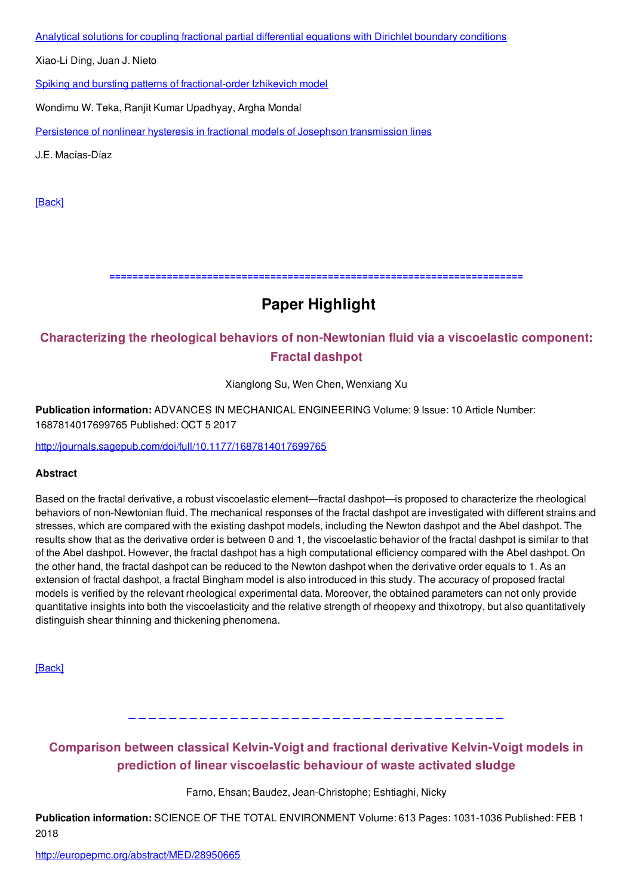Analytical solutions for coupling fractional partial [differential](https://www.bing.com/) equations with Dirichlet boundary conditions

Xiao-Li Ding, Juan J. Nieto

Spiking and bursting patterns of [fractional-order](https://www.bing.com/>
The output feedback control synthesis for a class of singular fractional order systems</a></p>
<p>	
Yiheng Wei, Peter W. Tse, Zhao Yao, Yong Wang</p>
<p>
<a target=) Izhikevich model

Wondimu W. Teka, Ranjit Kumar Upadhyay, Argha Mondal

Persistence of nonlinear hysteresis in fractional models of Josephson [transmission](https://www.bing.com/) lines

J.E. Macías-Díaz

[\[Back\]](#page-0-0)

**========================================================================**

## **Paper Highlight**

#### <span id="page-6-0"></span>**Characterizing the rheological behaviors of non-Newtonian fluid via a viscoelastic component: Fractal dashpot**

Xianglong Su, Wen Chen, Wenxiang Xu

**Publication information:** ADVANCES IN MECHANICAL ENGINEERING Volume: 9 Issue: 10 Article Number: 1687814017699765 Published: OCT 5 2017

<http://journals.sagepub.com/doi/full/10.1177/1687814017699765>

#### **Abstract**

Based on the fractal derivative, a robust viscoelastic element—fractal dashpot—is proposed to characterize the rheological behaviors of non-Newtonian fluid. The mechanical responses of the fractal dashpot are investigated with different strains and stresses, which are compared with the existing dashpot models, including the Newton dashpot and the Abel dashpot. The results show that as the derivative order is between 0 and 1, the viscoelastic behavior of the fractal dashpot is similar to that of the Abel dashpot. However, the fractal dashpot has a high computational efficiency compared with the Abel dashpot. On the other hand, the fractal dashpot can be reduced to the Newton dashpot when the derivative order equals to 1. As an extension of fractal dashpot, a fractal Bingham model is also introduced in this study. The accuracy of proposed fractal models is verified by the relevant rheological experimental data. Moreover, the obtained parameters can not only provide quantitative insights into both the viscoelasticity and the relative strength of rheopexy and thixotropy, but also quantitatively distinguish shear thinning and thickening phenomena.

[\[Back\]](#page-0-0)

#### <span id="page-6-1"></span>**Comparison between classical Kelvin-Voigt and fractional derivative Kelvin-Voigt models in prediction of linear viscoelastic behaviour of waste activated sludge**

**−−−−−−−−−−−−−−−−−−−−−−−−−−−−−−−−−−−** 

Farno, Ehsan; Baudez, Jean-Christophe; Eshtiaghi, Nicky

**Publication information:** SCIENCE OF THE TOTAL ENVIRONMENT Volume: 613 Pages: 1031-1036 Published: FEB 1 2018